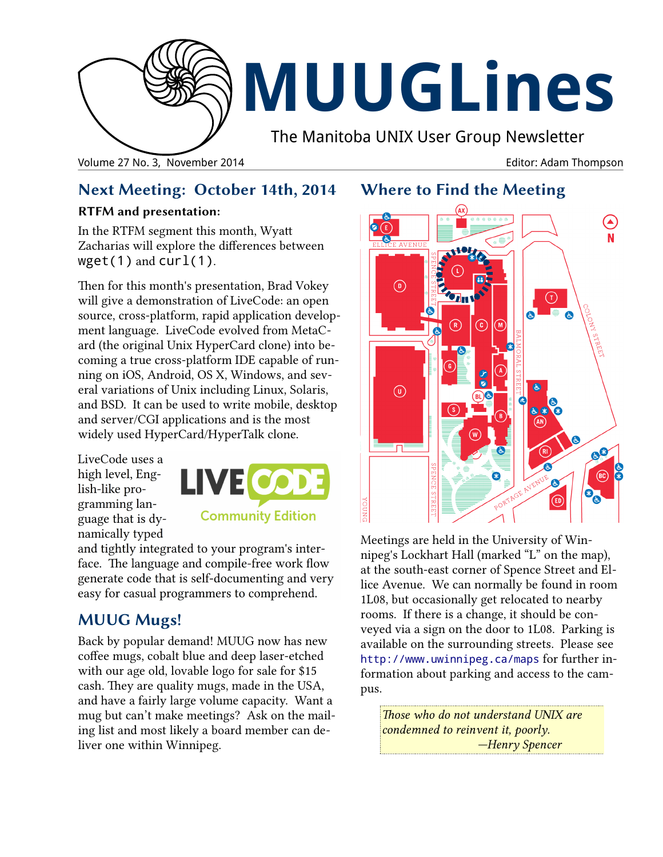

# **MUUGLines**

The Manitoba UNIX User Group Newsletter

Volume 27 No. 3, November 2014 Editor: Adam Thompson

# **Next Meeting: October 14th, 2014**

### **RTFM and presentation:**

In the RTFM segment this month, Wyatt Zacharias will explore the differences between  $wget(1)$  and  $curl(1)$ .

Then for this month's presentation, Brad Vokey will give a demonstration of LiveCode: an open source, cross-platform, rapid application development language. LiveCode evolved from MetaCard (the original Unix HyperCard clone) into becoming a true cross-platform IDE capable of running on iOS, Android, OS X, Windows, and several variations of Unix including Linux, Solaris, and BSD. It can be used to write mobile, desktop and server/CGI applications and is the most widely used HyperCard/HyperTalk clone.

LiveCode uses a high level, English-like programming language that is dynamically typed



and tightly integrated to your program's interface. The language and compile-free work flow generate code that is self-documenting and very easy for casual programmers to comprehend.

# **MUUG Mugs!**

Back by popular demand! MUUG now has new coffee mugs, cobalt blue and deep laser-etched with our age old, lovable logo for sale for \$15 cash. They are quality mugs, made in the USA, and have a fairly large volume capacity. Want a mug but can't make meetings? Ask on the mailing list and most likely a board member can deliver one within Winnipeg.

# **Where to Find the Meeting**



Meetings are held in the University of Winnipeg's Lockhart Hall (marked "L" on the map), at the south-east corner of Spence Street and Ellice Avenue. We can normally be found in room 1L08, but occasionally get relocated to nearby rooms. If there is a change, it should be conveyed via a sign on the door to 1L08. Parking is available on the surrounding streets. Please see <http://www.uwinnipeg.ca/maps> for further information about parking and access to the campus.

*Those who do not understand UNIX are condemned to reinvent it, poorly. —Henry Spencer*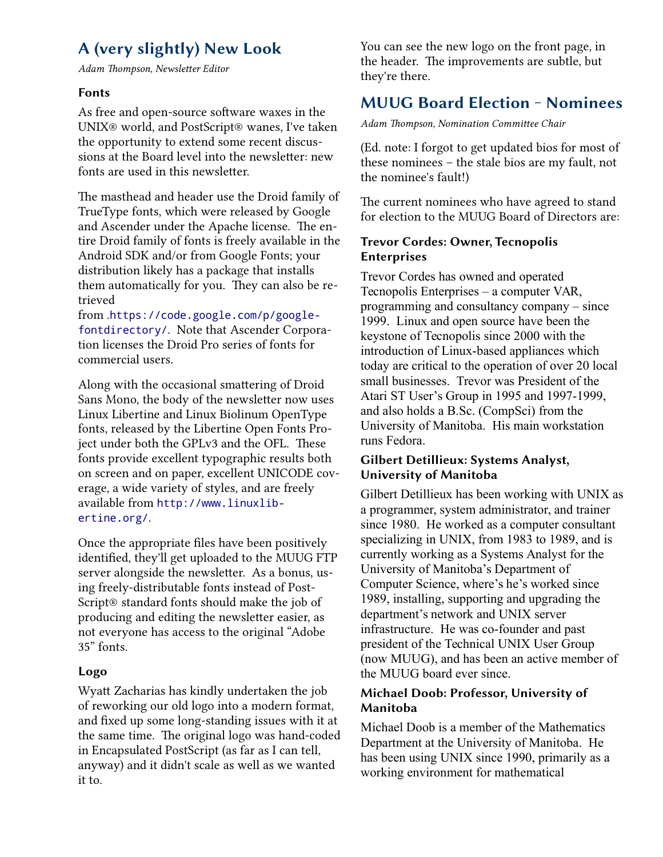# **A (very slightly) New Look**

*Adam Thompson, Newsletter Editor*

#### **Fonts**

As free and open-source software waxes in the UNIX® world, and PostScript® wanes, I've taken the opportunity to extend some recent discussions at the Board level into the newsletter: new fonts are used in this newsletter.

The masthead and header use the Droid family of TrueType fonts, which were released by Google and Ascender under the Apache license. The entire Droid family of fonts is freely available in the Android SDK and/or from Google Fonts; your distribution likely has a package that installs them automatically for you. They can also be retrieved

from .[https://code.google.com/p/google](https://code.google.com/p/googlefontdirectory/)[fontdirectory/](https://code.google.com/p/googlefontdirectory/). Note that Ascender Corporation licenses the Droid Pro series of fonts for commercial users.

Along with the occasional smattering of Droid Sans Mono, the body of the newsletter now uses Linux Libertine and Linux Biolinum OpenType fonts, released by the Libertine Open Fonts Project under both the GPLv3 and the OFL. These fonts provide excellent typographic results both on screen and on paper, excellent UNICODE coverage, a wide variety of styles, and are freely available from [http://www.linuxlib](http://www.linuxlibertine.org/)[ertine.org/](http://www.linuxlibertine.org/).

Once the appropriate files have been positively identified, they'll get uploaded to the MUUG FTP server alongside the newsletter. As a bonus, using freely-distributable fonts instead of Post-Script® standard fonts should make the job of producing and editing the newsletter easier, as not everyone has access to the original "Adobe 35" fonts.

#### **Logo**

Wyatt Zacharias has kindly undertaken the job of reworking our old logo into a modern format, and fixed up some long-standing issues with it at the same time. The original logo was hand-coded in Encapsulated PostScript (as far as I can tell, anyway) and it didn't scale as well as we wanted it to.

You can see the new logo on the front page, in the header. The improvements are subtle, but they're there.

# **MUUG Board Election ‒ Nominees**

*Adam Thompson, Nomination Committee Chair*

(Ed. note: I forgot to get updated bios for most of these nominees – the stale bios are my fault, not the nominee's fault!)

The current nominees who have agreed to stand for election to the MUUG Board of Directors are:

#### **Trevor Cordes: Owner, Tecnopolis Enterprises**

Trevor Cordes has owned and operated Tecnopolis Enterprises – a computer VAR, programming and consultancy company – since 1999. Linux and open source have been the keystone of Tecnopolis since 2000 with the introduction of Linux-based appliances which today are critical to the operation of over 20 local small businesses. Trevor was President of the Atari ST User's Group in 1995 and 1997-1999, and also holds a B.Sc. (CompSci) from the University of Manitoba. His main workstation runs Fedora.

#### **Gilbert Detillieux: Systems Analyst, University of Manitoba**

Gilbert Detillieux has been working with UNIX as a programmer, system administrator, and trainer since 1980. He worked as a computer consultant specializing in UNIX, from 1983 to 1989, and is currently working as a Systems Analyst for the University of Manitoba's Department of Computer Science, where's he's worked since 1989, installing, supporting and upgrading the department's network and UNIX server infrastructure. He was co-founder and past president of the Technical UNIX User Group (now MUUG), and has been an active member of the MUUG board ever since.

#### **Michael Doob: Professor, University of Manitoba**

Michael Doob is a member of the Mathematics Department at the University of Manitoba. He has been using UNIX since 1990, primarily as a working environment for mathematical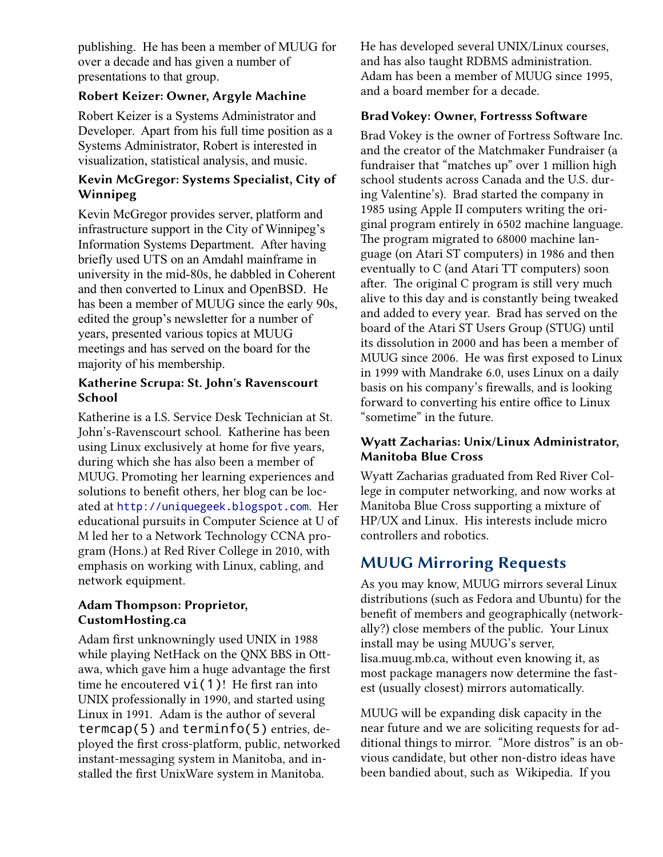publishing. He has been a member of MUUG for over a decade and has given a number of presentations to that group.

#### **Robert Keizer: Owner, Argyle Machine**

Robert Keizer is a Systems Administrator and Developer. Apart from his full time position as a Systems Administrator, Robert is interested in visualization, statistical analysis, and music.

#### **Kevin McGregor: Systems Specialist, City of Winnipeg**

Kevin McGregor provides server, platform and infrastructure support in the City of Winnipeg's Information Systems Department. After having briefly used UTS on an Amdahl mainframe in university in the mid-80s, he dabbled in Coherent and then converted to Linux and OpenBSD. He has been a member of MUUG since the early 90s, edited the group's newsletter for a number of years, presented various topics at MUUG meetings and has served on the board for the majority of his membership.

#### **Katherine Scrupa: St. John's Ravenscourt School**

Katherine is a I.S. Service Desk Technician at St. John's-Ravenscourt school. Katherine has been using Linux exclusively at home for five years, during which she has also been a member of MUUG. Promoting her learning experiences and solutions to benefit others, her blog can be located at [http://uniquegeek.blogspot.com](http://uniquegeek.blogspot.com/). Her educational pursuits in Computer Science at U of M led her to a Network Technology CCNA program (Hons.) at Red River College in 2010, with emphasis on working with Linux, cabling, and network equipment.

#### **Adam Thompson: Proprietor, CustomHosting.ca**

Adam first unknowningly used UNIX in 1988 while playing NetHack on the QNX BBS in Ottawa, which gave him a huge advantage the first time he encoutered  $vi(1)!$  He first ran into UNIX professionally in 1990, and started using Linux in 1991. Adam is the author of several termcap(5) and terminfo(5) entries, deployed the first cross-platform, public, networked instant-messaging system in Manitoba, and installed the first UnixWare system in Manitoba.

He has developed several UNIX/Linux courses, and has also taught RDBMS administration. Adam has been a member of MUUG since 1995, and a board member for a decade.

#### **Brad Vokey: Owner, Fortresss Software**

Brad Vokey is the owner of Fortress Software Inc. and the creator of the Matchmaker Fundraiser (a fundraiser that "matches up" over 1 million high school students across Canada and the U.S. during Valentine's). Brad started the company in 1985 using Apple II computers writing the original program entirely in 6502 machine language. The program migrated to 68000 machine language (on Atari ST computers) in 1986 and then eventually to C (and Atari TT computers) soon after. The original C program is still very much alive to this day and is constantly being tweaked and added to every year. Brad has served on the board of the Atari ST Users Group (STUG) until its dissolution in 2000 and has been a member of MUUG since 2006. He was first exposed to Linux in 1999 with Mandrake 6.0, uses Linux on a daily basis on his company's firewalls, and is looking forward to converting his entire office to Linux "sometime" in the future.

#### **Wyatt Zacharias: Unix/Linux Administrator, Manitoba Blue Cross**

Wyatt Zacharias graduated from Red River College in computer networking, and now works at Manitoba Blue Cross supporting a mixture of HP/UX and Linux. His interests include micro controllers and robotics.

# **MUUG Mirroring Requests**

As you may know, MUUG mirrors several Linux distributions (such as Fedora and Ubuntu) for the benefit of members and geographically (networkally?) close members of the public. Your Linux install may be using MUUG's server, lisa.muug.mb.ca, without even knowing it, as most package managers now determine the fastest (usually closest) mirrors automatically.

MUUG will be expanding disk capacity in the near future and we are soliciting requests for additional things to mirror. "More distros" is an obvious candidate, but other non-distro ideas have been bandied about, such as Wikipedia. If you